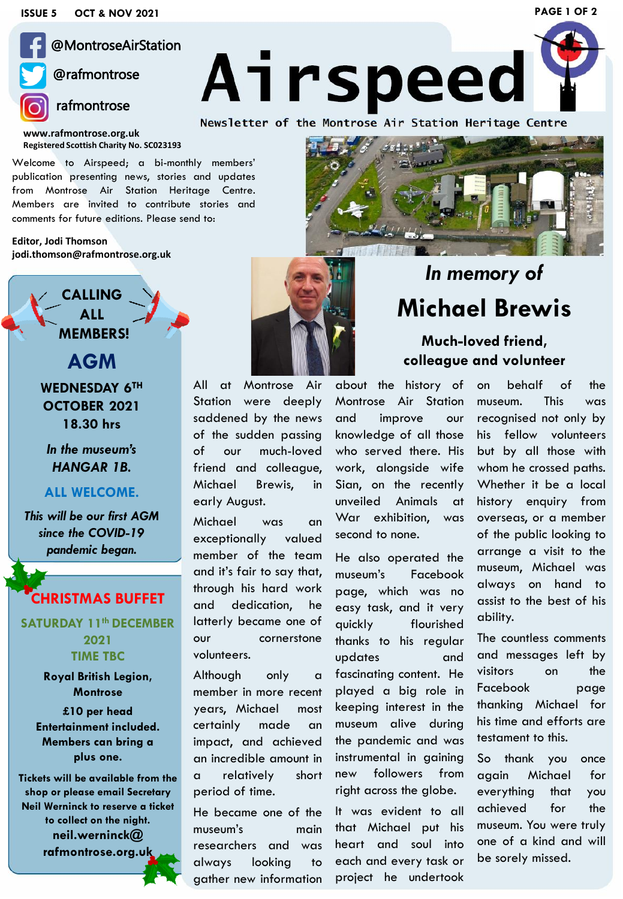

### @MontroseAirStation

### @rafmontrose

**www.rafmontrose.org.uk Registered Scottish Charity No. SC023193**

Welcome to Airspeed; a bi-monthly members' publication presenting news, stories and updates from Montrose Air Station Heritage Centre. Members are invited to contribute stories and comments for future editions. Please send to:

**Editor, Jodi Thomson jodi.thomson@rafmontrose.org.uk**

> **CALLING ALL MEMBERS!**

**WEDNESDAY 6TH OCTOBER 2021 18.30 hrs**

**AGM**

*In the museum's HANGAR 1B.*

#### **ALL WELCOME.**

*This will be our first AGM since the COVID-19 pandemic began.*

#### **CHRISTMAS BUFFET**

**SATURDAY 11th DECEMBER 2021 TIME TBC**

> **Royal British Legion, Montrose**

**£10 per head Entertainment included. Members can bring a plus one.**

**Tickets will be available from the shop or please email Secretary Neil Werninck to reserve a ticket to collect on the night. neil.werninck@ rafmontrose.org.uk**



Station were deeply saddened by the news of the sudden passing of our much-loved friend and colleague, Michael Brewis, in early August.

Michael was an exceptionally valued member of the team and it's fair to say that, through his hard work and dedication, he latterly became one of our cornerstone volunteers.

Although only a member in more recent years, Michael most certainly made an impact, and achieved an incredible amount in a relatively short period of time.

He became one of the museum's main researchers and was always looking to gather new information

# *In memory of* **Michael Brewis**

#### **Much-loved friend, colleague and volunteer**

about the history of Montrose Air Station and improve our knowledge of all those who served there. His work, alongside wife Sian, on the recently unveiled Animals at War exhibition, was second to none.

He also operated the museum's Facebook page, which was no easy task, and it very quickly flourished thanks to his regular updates and fascinating content. He played a big role in keeping interest in the museum alive during the pandemic and was instrumental in gaining new followers from right across the globe.

It was evident to all that Michael put his heart and soul into each and every task or project he undertook on behalf of the museum. This was recognised not only by his fellow volunteers but by all those with whom he crossed paths. Whether it be a local history enquiry from overseas, or a member of the public looking to arrange a visit to the museum, Michael was always on hand to assist to the best of his ability.

The countless comments and messages left by visitors on the Facebook page thanking Michael for his time and efforts are testament to this.

So thank you once again Michael for everything that you achieved for the museum. You were truly one of a kind and will be sorely missed.



**PAGE 1 OF 2**

Airspeed

Newsletter of the Montrose Air Station Heritage Centre